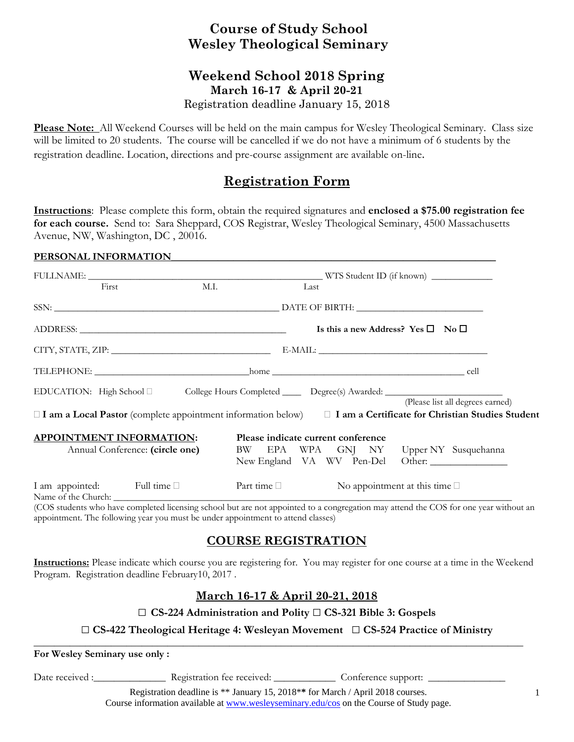## **Course of Study School Wesley Theological Seminary**

## **Weekend School 2018 Spring March 16-17 & April 20-21**

Registration deadline January 15, 2018

**Please Note:** All Weekend Courses will be held on the main campus for Wesley Theological Seminary. Class size will be limited to 20 students. The course will be cancelled if we do not have a minimum of 6 students by the registration deadline. Location, directions and pre-course assignment are available on-line.

# **Registration Form**

**Instructions**: Please complete this form, obtain the required signatures and **enclosed a \$75.00 registration fee for each course.** Send to: Sara Sheppard, COS Registrar, Wesley Theological Seminary, 4500 Massachusetts Avenue, NW, Washington, DC , 20016.

#### PERSONAL INFORMATION

|  | First                                                                                                | M.I.                                              |                                        | Last |  |  |                                       |                                                                                                                                                       |  |
|--|------------------------------------------------------------------------------------------------------|---------------------------------------------------|----------------------------------------|------|--|--|---------------------------------------|-------------------------------------------------------------------------------------------------------------------------------------------------------|--|
|  |                                                                                                      |                                                   |                                        |      |  |  |                                       |                                                                                                                                                       |  |
|  |                                                                                                      | Is this a new Address? Yes $\square$ No $\square$ |                                        |      |  |  |                                       |                                                                                                                                                       |  |
|  |                                                                                                      |                                                   |                                        |      |  |  |                                       |                                                                                                                                                       |  |
|  |                                                                                                      |                                                   |                                        |      |  |  |                                       |                                                                                                                                                       |  |
|  | EDUCATION: High School D College Hours Completed ______ Degree(s) Awarded: _________________________ |                                                   |                                        |      |  |  |                                       |                                                                                                                                                       |  |
|  |                                                                                                      |                                                   |                                        |      |  |  |                                       | (Please list all degrees earned)<br>□ I am a Local Pastor (complete appointment information below) □ I am a Certificate for Christian Studies Student |  |
|  | <b>APPOINTMENT INFORMATION:</b>                                                                      |                                                   | Please indicate current conference     |      |  |  |                                       |                                                                                                                                                       |  |
|  | Annual Conference: (circle one)                                                                      |                                                   | BW EPA WPA GNJ NY Upper NY Susquehanna |      |  |  |                                       | New England VA WV Pen-Del Other:                                                                                                                      |  |
|  | I am appointed: Full time                                                                            |                                                   | Part time $\Box$                       |      |  |  | No appointment at this time $\square$ |                                                                                                                                                       |  |

(COS students who have completed licensing school but are not appointed to a congregation may attend the COS for one year without an appointment. The following year you must be under appointment to attend classes)

## **COURSE REGISTRATION**

**Instructions:** Please indicate which course you are registering for. You may register for one course at a time in the Weekend Program. Registration deadline February10, 2017 .

### **March 16-17 & April 20-21, 2018**

### □ **CS-224 Administration and Polity** □ **CS-321 Bible 3: Gospels**

### □ **CS-422 Theological Heritage 4: Wesleyan Movement** □ **CS-524 Practice of Ministry**

**\_\_\_\_\_\_\_\_\_\_\_\_\_\_\_\_\_\_\_\_\_\_\_\_\_\_\_\_\_\_\_\_\_\_\_\_\_\_\_\_\_\_\_\_\_\_\_\_\_\_\_\_\_\_\_\_\_\_\_\_\_\_\_\_\_\_\_\_\_\_\_\_\_\_\_\_\_\_\_\_\_\_\_\_\_\_\_\_\_\_\_\_\_\_\_** 

**For Wesley Seminary use only :** 

Date received :\_\_\_\_\_\_\_\_\_\_\_\_\_\_\_\_\_\_ Registration fee received: \_\_\_\_\_\_\_\_\_\_\_\_\_\_\_ Conference support: \_

Registration deadline is \*\* January 15, 2018\***\*** for March / April 2018 courses. Course information available at www.wesleyseminary.edu/cos on the Course of Study page.